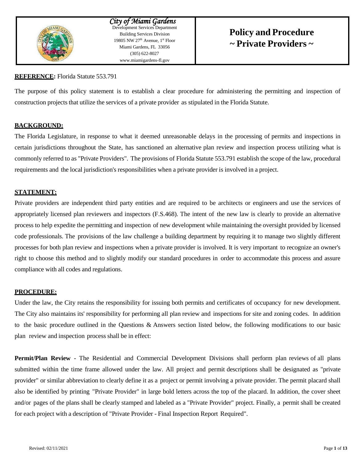

*City of Miami Gardens* Development Services Department Building Services Division 19805 NW  $27<sup>th</sup>$  Avenue,  $1<sup>st</sup>$  Floor Miami Gardens, FL 33056 (305) 622-8027 [www.miamigardens-fl.gov](http://www.miamigardens-fl.gov/)

# **Policy and Procedure ~ Private Providers ~**

# **REFERENCE:** Florida Statute 553.791

The purpose of this policy statement is to establish a clear procedure for administering the permitting and inspection of construction projects that utilize the services of a private provider as stipulated in the Florida Statute.

# **BACKGROUND:**

The Florida Legislature, in response to what it deemed unreasonable delays in the processing of permits and inspections in certain jurisdictions throughout the State, has sanctioned an alternative plan review and inspection process utilizing what is commonly referred to as "Private Providers". The provisions of Florida Statute 553.791 establish the scope of the law, procedural requirements and the local jurisdiction's responsibilities when a private provider is involved in a project.

# **STATEMENT:**

Private providers are independent third party entities and are required to be architects or engineers and use the services of appropriately licensed plan reviewers and inspectors (F.S.468). The intent of the new law is clearly to provide an alternative process to help expedite the permitting and inspection of new development while maintaining the oversight provided by licensed code professionals. The provisions of the law challenge a building department by requiring it to manage two slightly different processes for both plan review and inspections when a private provider is involved. It is very important to recognize an owner's right to choose this method and to slightly modify our standard procedures in order to accommodate this process and assure compliance with all codes and regulations.

# **PROCEDURE:**

Under the law, the City retains the responsibility for issuing both permits and certificates of occupancy for new development. The City also maintains its' responsibility for performing all plan review and inspections for site and zoning codes. In addition to the basic procedure outlined in the Questions & Answers section listed below, the following modifications to our basic plan review and inspection process shall be in effect:

**Permit/Plan Review** - The Residential and Commercial Development Divisions shall perform plan reviews of all plans submitted within the time frame allowed under the law. All project and permit descriptions shall be designated as "private provider" or similar abbreviation to clearly define it as a project or permit involving a private provider. The permit placard shall also be identified by printing "Private Provider" in large bold letters across the top of the placard. In addition, the cover sheet and/or pages of the plans shall be clearly stamped and labeled as a "Private Provider" project. Finally, a permit shall be created for each project with a description of "Private Provider - Final Inspection Report Required".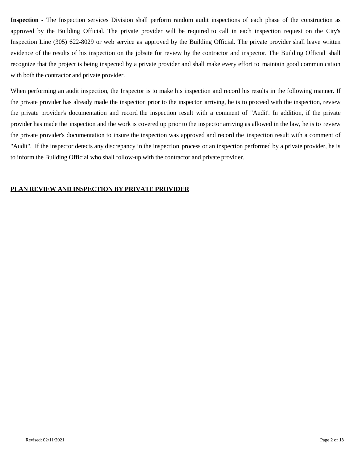**Inspection -** The Inspection services Division shall perform random audit inspections of each phase of the construction as approved by the Building Official. The private provider will be required to call in each inspection request on the City's Inspection Line (305) 622-8029 or web service as approved by the Building Official. The private provider shall leave written evidence of the results of his inspection on the jobsite for review by the contractor and inspector. The Building Official shall recognize that the project is being inspected by a private provider and shall make every effort to maintain good communication with both the contractor and private provider.

When performing an audit inspection, the Inspector is to make his inspection and record his results in the following manner. If the private provider has already made the inspection prior to the inspector arriving, he is to proceed with the inspection, review the private provider's documentation and record the inspection result with a comment of "Audit'. In addition, if the private provider has made the inspection and the work is covered up prior to the inspector arriving as allowed in the law, he is to review the private provider's documentation to insure the inspection was approved and record the inspection result with a comment of "Audit". If the inspector detects any discrepancy in the inspection process or an inspection performed by a private provider, he is to inform the Building Official who shall follow-up with the contractor and private provider.

#### **PLAN REVIEW AND INSPECTION BY PRIVATE PROVIDER**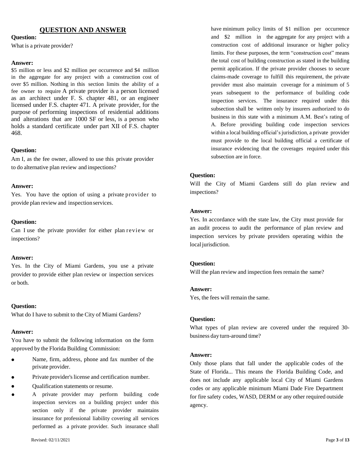#### **QUESTION AND ANSWER**

#### **Question:**

What is a private provider?

#### **Answer:**

\$5 million or less and \$2 million per occurrence and \$4 million in the aggregate for any project with a construction cost of over \$5 million. Nothing in this section limits the ability of a fee owner to require A private provider is a person licensed as an architect under F. S. chapter 481, or an engineer licensed under F.S. chapter 471. A private provider, for the purpose of performing inspections of residential additions and alterations that are 1000 SF or less, is a person who holds a standard certificate under part XII of F.S. chapter 468.

#### **Question:**

Am I, as the fee owner, allowed to use this private provider to do alternative plan review and inspections?

#### **Answer:**

Yes. You have the option of using a private provider to provide plan review and inspection services.

#### **Question:**

Can I use the private provider for either plan review or inspections?

#### **Answer:**

Yes. In the City of Miami Gardens, you use a private provider to provide either plan review or inspection services or both.

#### **Question:**

What do I have to submit to the City of Miami Gardens?

#### **Answer:**

You have to submit the following information on the form approved by the Florida Building Commission:

- Name, firm, address, phone and fax number of the private provider.
- Private provider's license and certification number.
- Qualification statements or resume.
- A private provider may perform building code inspection services on a building project under this section only if the private provider maintains insurance for professional liability covering all services performed as a private provider. Such insurance shall

have minimum policy limits of \$1 million per occurrence and \$2 million in the aggregate for any project with a construction cost of additional insurance or higher policy limits. For these purposes, the term "construction cost" means the total cost of building construction as stated in the building permit application. If the private provider chooses to secure claims-made coverage to fulfill this requirement, the private provider must also maintain coverage for a minimum of 5 years subsequent to the performance of building code inspection services. The insurance required under this subsection shall be written only by insurers authorized to do business in this state with a minimum A.M. Best's rating of A. Before providing building code inspection services within a local building official's jurisdiction, a private provider must provide to the local building official a certificate of insurance evidencing that the coverages required under this subsection are in force.

#### **Question:**

Will the City of Miami Gardens still do plan review and inspections?

#### **Answer:**

Yes. In accordance with the state law, the City must provide for an audit process to audit the performance of plan review and inspection services by private providers operating within the local jurisdiction.

#### **Question:**

Will the plan review and inspection fees remain the same?

#### **Answer:**

Yes, the fees will remain the same.

#### **Question:**

What types of plan review are covered under the required 30 business day turn-around time?

#### **Answer:**

Only those plans that fall under the applicable codes of the State of Florida... This means the Florida Building Code, and does not include any applicable local City of Miami Gardens codes or any applicable minimum Miami Dade Fire Department for fire safety codes, WASD, DERM or any other required outside agency.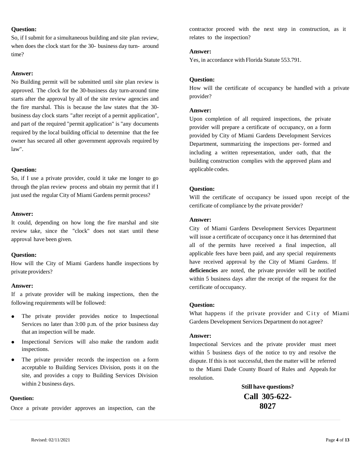#### **Question:**

So, if I submit for a simultaneous building and site plan review, when does the clock start for the 30- business day turn- around time?

#### **Answer:**

No Building permit will be submitted until site plan review is approved. The clock for the 30-business day turn-around time starts after the approval by all of the site review agencies and the fire marshal. This is because the law states that the 30 business day clock starts "after receipt of a permit application", and part of the required "permit application" is "any documents required by the local building official to determine that the fee owner has secured all other government approvals required by law".

#### **Question:**

So, if I use a private provider, could it take me longer to go through the plan review process and obtain my permit that if I just used the regular City of Miami Gardens permit process?

#### **Answer:**

It could, depending on how long the fire marshal and site review take, since the "clock" does not start until these approval have been given.

#### **Question:**

How will the City of Miami Gardens handle inspections by private providers?

#### **Answer:**

If a private provider will be making inspections, then the following requirements will be followed:

- The private provider provides notice to Inspectional Services no later than 3:00 p.m. of the prior business day that an inspection will be made.
- Inspectional Services will also make the random audit inspections.
- The private provider records the inspection on a form acceptable to Building Services Division, posts it on the site, and provides a copy to Building Services Division within 2 business days.

#### **Question:**

Once a private provider approves an inspection, can the

contractor proceed with the next step in construction, as it relates to the inspection?

#### **Answer:**

Yes, in accordance with Florida Statute 553.791.

#### **Question:**

How will the certificate of occupancy be handled with a private provider?

#### **Answer:**

Upon completion of all required inspections, the private provider will prepare a certificate of occupancy, on a form provided by City of Miami Gardens Development Services Department, summarizing the inspections per- formed and including a written representation, under oath, that the building construction complies with the approved plans and applicable codes.

#### **Question:**

Will the certificate of occupancy be issued upon receipt of the certificate of compliance by the private provider?

#### **Answer:**

City of Miami Gardens Development Services Department will issue a certificate of occupancy once it has determined that all of the permits have received a final inspection, all applicable fees have been paid, and any special requirements have received approval by the City of Miami Gardens. If **deficiencies** are noted, the private provider will be notified within 5 business days after the receipt of the request for the certificate of occupancy.

#### **Question:**

What happens if the private provider and City of Miami Gardens Development Services Department do not agree?

#### **Answer:**

Inspectional Services and the private provider must meet within 5 business days of the notice to try and resolve the dispute. If this is not successful, then the matter will be referred to the Miami Dade County Board of Rules and Appeals for resolution.

> **Still have questions? Call 305-622- 8027**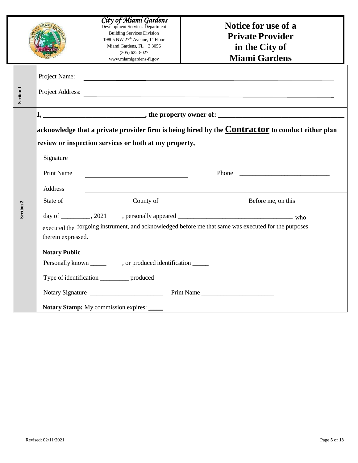|                      |                      | City of Miami Gardens<br>Development Services Department<br><b>Building Services Division</b><br>19805 NW 27 <sup>th</sup> Avenue, 1 <sup>st</sup> Floor<br>Miami Gardens, FL 3 3056<br>$(305) 622 - 8027$<br>www.miamigardens-fl.gov | Notice for use of a<br><b>Private Provider</b><br>in the City of<br><b>Miami Gardens</b>             |
|----------------------|----------------------|---------------------------------------------------------------------------------------------------------------------------------------------------------------------------------------------------------------------------------------|------------------------------------------------------------------------------------------------------|
|                      | Project Name:        |                                                                                                                                                                                                                                       |                                                                                                      |
| Section 1            | Project Address:     |                                                                                                                                                                                                                                       |                                                                                                      |
|                      |                      |                                                                                                                                                                                                                                       |                                                                                                      |
|                      |                      |                                                                                                                                                                                                                                       | acknowledge that a private provider firm is being hired by the $Contractor$ to conduct either plan   |
|                      |                      | review or inspection services or both at my property,                                                                                                                                                                                 |                                                                                                      |
|                      | Signature            |                                                                                                                                                                                                                                       |                                                                                                      |
|                      | <b>Print Name</b>    |                                                                                                                                                                                                                                       |                                                                                                      |
|                      | Address              |                                                                                                                                                                                                                                       |                                                                                                      |
|                      | State of             | County of                                                                                                                                                                                                                             | Before me, on this<br>the control of the control of the control of the                               |
| Section <sub>2</sub> |                      |                                                                                                                                                                                                                                       |                                                                                                      |
|                      | therein expressed.   |                                                                                                                                                                                                                                       | executed the forgoing instrument, and acknowledged before me that same was executed for the purposes |
|                      | <b>Notary Public</b> |                                                                                                                                                                                                                                       |                                                                                                      |
|                      |                      |                                                                                                                                                                                                                                       |                                                                                                      |
|                      |                      | Type of identification ____________ produced                                                                                                                                                                                          |                                                                                                      |
|                      |                      |                                                                                                                                                                                                                                       |                                                                                                      |
|                      |                      | <b>Notary Stamp:</b> My commission expires:                                                                                                                                                                                           |                                                                                                      |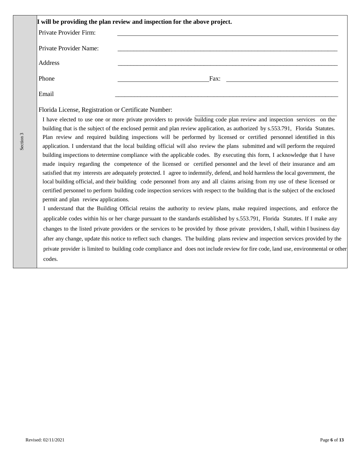| I will be providing the plan review and inspection for the above project. |                                                                                                                                |  |  |  |
|---------------------------------------------------------------------------|--------------------------------------------------------------------------------------------------------------------------------|--|--|--|
| Private Provider Firm:                                                    |                                                                                                                                |  |  |  |
| Private Provider Name:                                                    |                                                                                                                                |  |  |  |
| Address                                                                   |                                                                                                                                |  |  |  |
| Phone                                                                     | Fax:                                                                                                                           |  |  |  |
| Email                                                                     |                                                                                                                                |  |  |  |
| Florida License, Registration or Certificate Number:                      |                                                                                                                                |  |  |  |
|                                                                           | I have elected to use one or more private providers to provide building code plan review and inspection services on the        |  |  |  |
|                                                                           | building that is the subject of the enclosed permit and plan review application, as authorized by s.553.791, Florida Statutes. |  |  |  |
|                                                                           | Plan review and required building inspections will be performed by licensed or certified personnel identified in this          |  |  |  |
|                                                                           | application I understand that the local building official will also review the plans, submitted and will perform the required  |  |  |  |

derstand that the local building official will also review the plans submitted and will perform the required building inspections to determine compliance with the applicable codes. By executing this form, I acknowledge that I have made inquiry regarding the competence of the licensed or certified personnel and the level of their insurance and am satisfied that my interests are adequately protected. I agree to indemnify, defend, and hold harmless the local government, the local building official, and their building code personnel from any and all claims arising from my use of these licensed or certified personnel to perform building code inspection services with respect to the building that is the subject of the enclosed permit and plan review applications.

I understand that the Building Official retains the authority to review plans, make required inspections, and enforce the applicable codes within his or her charge pursuant to the standards established by s.553.791, Florida Statutes. If I make any changes to the listed private providers or the services to be provided by those private providers, I shall, within I business day after any change, update this notice to reflect such changes. The building plans review and inspection services provided by the private provider is limited to building code compliance and does not include review for fire code, land use, environmental or other codes.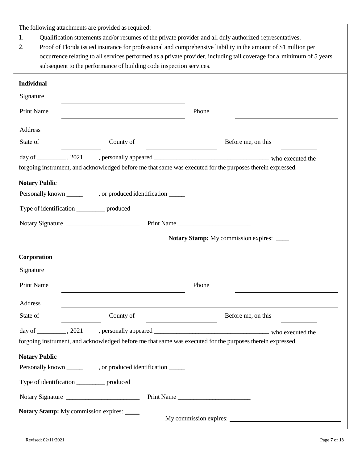The following attachments are provided as required:

- 1. Qualification statements and/or resumes of the private provider and all duly authorized representatives.
- 2. Proof of Florida issued insurance for professional and comprehensive liability in the amount of \$1 million per occurrence relating to all services performed as a private provider, including tail coverage for a minimum of 5 years subsequent to the performance of building code inspection services.

| <b>Individual</b>    |                                                                                                                                               |                                      |
|----------------------|-----------------------------------------------------------------------------------------------------------------------------------------------|--------------------------------------|
| Signature            | the control of the control of the control of the control of the control of the control of                                                     |                                      |
| <b>Print Name</b>    |                                                                                                                                               | Phone                                |
| Address              |                                                                                                                                               |                                      |
| State of             | County of                                                                                                                                     | Before me, on this                   |
|                      |                                                                                                                                               |                                      |
|                      | forgoing instrument, and acknowledged before me that same was executed for the purposes therein expressed.                                    |                                      |
| <b>Notary Public</b> |                                                                                                                                               |                                      |
|                      |                                                                                                                                               |                                      |
|                      | Type of identification _____________ produced                                                                                                 |                                      |
|                      | Notary Signature                                                                                                                              | Print Name                           |
|                      |                                                                                                                                               | Notary Stamp: My commission expires: |
| Corporation          |                                                                                                                                               |                                      |
| Signature            |                                                                                                                                               |                                      |
| <b>Print Name</b>    |                                                                                                                                               | Phone                                |
|                      |                                                                                                                                               |                                      |
| Address<br>State of  | County of                                                                                                                                     | Before me, on this                   |
|                      |                                                                                                                                               |                                      |
| day of               | 2021<br>, personally appeared _<br>forgoing instrument, and acknowledged before me that same was executed for the purposes therein expressed. | who executed the                     |
| <b>Notary Public</b> |                                                                                                                                               |                                      |
|                      |                                                                                                                                               |                                      |
|                      | Type of identification ____________ produced                                                                                                  |                                      |
|                      | Notary Signature                                                                                                                              | Print Name                           |
|                      | Notary Stamp: My commission expires:                                                                                                          |                                      |
|                      |                                                                                                                                               | My commission expires:               |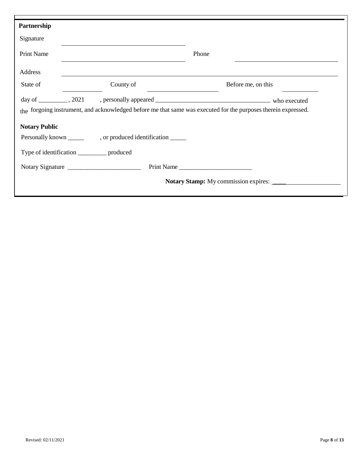| Partnership                                                                                                    |  |                  |            |       |                                             |
|----------------------------------------------------------------------------------------------------------------|--|------------------|------------|-------|---------------------------------------------|
| Signature                                                                                                      |  |                  |            |       |                                             |
| <b>Print Name</b>                                                                                              |  |                  |            | Phone |                                             |
| Address                                                                                                        |  |                  |            |       |                                             |
| State of                                                                                                       |  | County of        |            |       | Before me, on this                          |
|                                                                                                                |  |                  |            |       |                                             |
| the forgoing instrument, and acknowledged before me that same was executed for the purposes therein expressed. |  |                  |            |       |                                             |
| <b>Notary Public</b>                                                                                           |  |                  |            |       |                                             |
|                                                                                                                |  |                  |            |       |                                             |
| Type of identification _____________ produced                                                                  |  |                  |            |       |                                             |
|                                                                                                                |  | Notary Signature | Print Name |       |                                             |
|                                                                                                                |  |                  |            |       | <b>Notary Stamp:</b> My commission expires: |
|                                                                                                                |  |                  |            |       |                                             |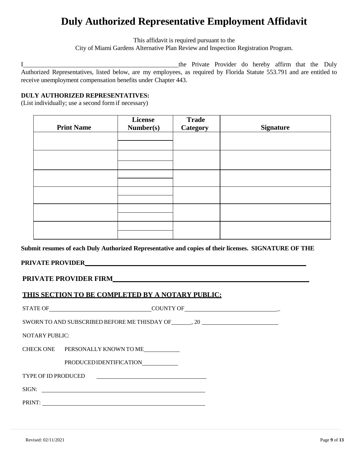# **Duly Authorized Representative Employment Affidavit**

This affidavit is required pursuant to the City of Miami Gardens Alternative Plan Review and Inspection Registration Program.

I the Private Provider do hereby affirm that the Duly Authorized Representatives, listed below, are my employees, as required by Florida Statute 553.791 and are entitled to receive unemployment compensation benefits under Chapter 443.

# **DULY AUTHORIZED REPRESENTATIVES:**

(List individually; use a second form if necessary)

| <b>Print Name</b> | License<br>Number(s) | <b>Trade</b><br><b>Category</b> | <b>Signature</b> |
|-------------------|----------------------|---------------------------------|------------------|
|                   |                      |                                 |                  |
|                   |                      |                                 |                  |
|                   |                      |                                 |                  |
|                   |                      |                                 |                  |
|                   |                      |                                 |                  |
|                   |                      |                                 |                  |

**Submit resumes of each Duly Authorized Representative and copies of their licenses. SIGNATURE OF THE**

# **PRIVATE PROVIDER**

# **PRIVATE PROVIDER FIRM**

# **THIS SECTION TO BE COMPLETED BY A NOTARY PUBLIC:**

| NOTARY PUBLIC:             |                                                                                                                        |  |  |  |  |
|----------------------------|------------------------------------------------------------------------------------------------------------------------|--|--|--|--|
|                            | CHECK ONE PERSONALLY KNOWN TO ME                                                                                       |  |  |  |  |
|                            | PRODUCED IDENTIFICATION                                                                                                |  |  |  |  |
| <b>TYPE OF ID PRODUCED</b> | <u> 1989 - Johann Barbara, martxa alemaniar arg</u>                                                                    |  |  |  |  |
| SIGN:                      | <u> 1989 - Johann Harry Barn, mars ar y brening ar y brening ar y brening ar y brening ar y brening ar y brening a</u> |  |  |  |  |
| PRINT:                     |                                                                                                                        |  |  |  |  |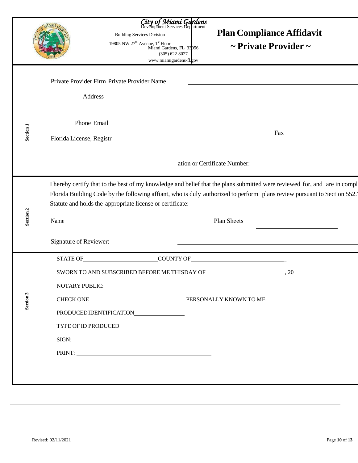|                      |                                                        | City of Miami Gardens<br>Development Services Department<br><b>Building Services Division</b><br>19805 NW $27^{\text{th}}$ Avenue, $1^{\text{st}}$ Floor<br>Miami Gardens, FL 33056<br>$(305) 622 - 8027$<br>www.miamigardens-fl.gov | <b>Plan Compliance Affidavit</b><br>$\sim$ Private Provider $\sim$                                                                                                                                                                                                  |     |
|----------------------|--------------------------------------------------------|--------------------------------------------------------------------------------------------------------------------------------------------------------------------------------------------------------------------------------------|---------------------------------------------------------------------------------------------------------------------------------------------------------------------------------------------------------------------------------------------------------------------|-----|
|                      | Private Provider Firm Private Provider Name<br>Address |                                                                                                                                                                                                                                      |                                                                                                                                                                                                                                                                     |     |
| Section 1            | Phone Email<br>Florida License, Registr                |                                                                                                                                                                                                                                      |                                                                                                                                                                                                                                                                     | Fax |
|                      |                                                        |                                                                                                                                                                                                                                      | ation or Certificate Number:                                                                                                                                                                                                                                        |     |
| Section <sub>2</sub> | Name                                                   | Statute and holds the appropriate license or certificate:                                                                                                                                                                            | I hereby certify that to the best of my knowledge and belief that the plans submitted were reviewed for, and are in compl<br>Florida Building Code by the following affiant, who is duly authorized to perform plans review pursuant to Section 552.<br>Plan Sheets |     |
|                      | Signature of Reviewer:                                 |                                                                                                                                                                                                                                      |                                                                                                                                                                                                                                                                     |     |
|                      | STATE OF                                               | COUNTY OF                                                                                                                                                                                                                            |                                                                                                                                                                                                                                                                     |     |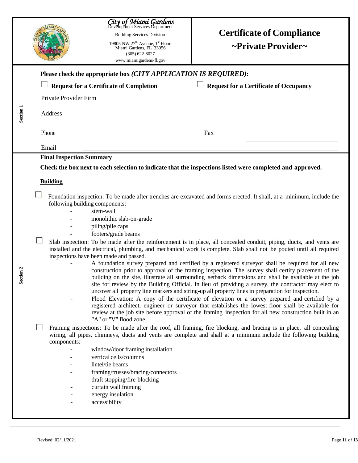|                       | City of Miami Gardens<br><b>Certificate of Compliance</b><br><b>Building Services Division</b><br>19805 NW 27 <sup>th</sup> Avenue, 1 <sup>st</sup> Floor<br>~Private Provider~<br>Miami Gardens, FL 33056<br>$(305) 622 - 8027$<br>www.miamigardens-fl.gov                                                                                                                                                                                                                                                                                                                                                                                                                                                                                                                                                                                                                                                                                                                                                                                                                                                                                                                                                                                                                                                                                                                                                                                                                                                                                                                                                                                                                                                                                                                                                                                                                          |
|-----------------------|--------------------------------------------------------------------------------------------------------------------------------------------------------------------------------------------------------------------------------------------------------------------------------------------------------------------------------------------------------------------------------------------------------------------------------------------------------------------------------------------------------------------------------------------------------------------------------------------------------------------------------------------------------------------------------------------------------------------------------------------------------------------------------------------------------------------------------------------------------------------------------------------------------------------------------------------------------------------------------------------------------------------------------------------------------------------------------------------------------------------------------------------------------------------------------------------------------------------------------------------------------------------------------------------------------------------------------------------------------------------------------------------------------------------------------------------------------------------------------------------------------------------------------------------------------------------------------------------------------------------------------------------------------------------------------------------------------------------------------------------------------------------------------------------------------------------------------------------------------------------------------------|
|                       | Please check the appropriate box (CITY APPLICATION IS REQUIRED):<br><b>Request for a Certificate of Occupancy</b><br><b>Request for a Certificate of Completion</b><br>Private Provider Firm                                                                                                                                                                                                                                                                                                                                                                                                                                                                                                                                                                                                                                                                                                                                                                                                                                                                                                                                                                                                                                                                                                                                                                                                                                                                                                                                                                                                                                                                                                                                                                                                                                                                                         |
| Section <sub>1</sub>  | Address<br>Phone<br>Fax<br>Email                                                                                                                                                                                                                                                                                                                                                                                                                                                                                                                                                                                                                                                                                                                                                                                                                                                                                                                                                                                                                                                                                                                                                                                                                                                                                                                                                                                                                                                                                                                                                                                                                                                                                                                                                                                                                                                     |
| $\frac{1}{2}$<br>Sect | <b>Final Inspection Summary</b><br>Check the box next to each selection to indicate that the inspections listed were completed and approved.<br><b>Building</b><br>Foundation inspection: To be made after trenches are excavated and forms erected. It shall, at a minimum, include the<br>following building components:<br>stem-wall<br>monolithic slab-on-grade<br>piling/pile caps<br>footers/grade beams<br>Slab inspection: To be made after the reinforcement is in place, all concealed conduit, piping, ducts, and vents are<br>installed and the electrical, plumbing, and mechanical work is complete. Slab shall not be pouted until all required<br>inspections have been made and passed.<br>A foundation survey prepared and certified by a registered surveyor shall be required for all new<br>construction prior to approval of the framing inspection. The survey shall certify placement of the<br>building on the site, illustrate all surrounding setback dimensions and shall be available at the job<br>site for review by the Building Official. In lieu of providing a survey, the contractor may elect to<br>uncover all property line markers and string-up all property lines in preparation for inspection.<br>Flood Elevation: A copy of the certificate of elevation or a survey prepared and certified by a<br>registered architect, engineer or surveyor that establishes the lowest floor shall be available for<br>review at the job site before approval of the framing inspection for all new construction built in an<br>"A" or "V" flood zone.<br>Framing inspections: To be made after the roof, all framing, fire blocking, and bracing is in place, all concealing<br>wiring, all pipes, chimneys, ducts and vents are complete and shall at a minimum include the following building<br>components:<br>window/door framing installation |
|                       | vertical cells/columns<br>lintel/tie beams<br>framing/trusses/bracing/connectors<br>draft stopping/fire-blocking<br>curtain wall framing<br>energy insulation<br>accessibility                                                                                                                                                                                                                                                                                                                                                                                                                                                                                                                                                                                                                                                                                                                                                                                                                                                                                                                                                                                                                                                                                                                                                                                                                                                                                                                                                                                                                                                                                                                                                                                                                                                                                                       |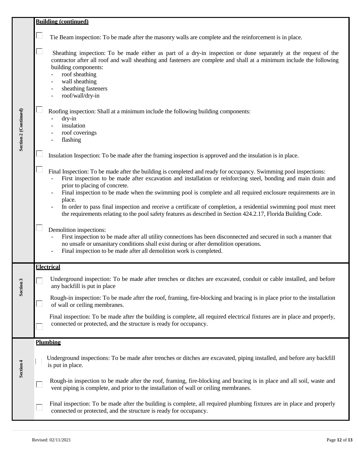|                       | <b>Building (continued)</b> |                                                                                                                                                                                                                                                                                                                                                                                                                                                                                                                                                                                                                                      |
|-----------------------|-----------------------------|--------------------------------------------------------------------------------------------------------------------------------------------------------------------------------------------------------------------------------------------------------------------------------------------------------------------------------------------------------------------------------------------------------------------------------------------------------------------------------------------------------------------------------------------------------------------------------------------------------------------------------------|
| Section 2 (Continued) |                             | Tie Beam inspection: To be made after the masonry walls are complete and the reinforcement is in place.                                                                                                                                                                                                                                                                                                                                                                                                                                                                                                                              |
|                       |                             | Sheathing inspection: To be made either as part of a dry-in inspection or done separately at the request of the<br>contractor after all roof and wall sheathing and fasteners are complete and shall at a minimum include the following<br>building components:<br>roof sheathing<br>wall sheathing<br>$\overline{a}$<br>sheathing fasteners<br>roof/wall/dry-in                                                                                                                                                                                                                                                                     |
|                       |                             | Roofing inspection: Shall at a minimum include the following building components:<br>dry-in<br>insulation<br>roof coverings<br>flashing                                                                                                                                                                                                                                                                                                                                                                                                                                                                                              |
|                       |                             | Insulation Inspection: To be made after the framing inspection is approved and the insulation is in place.                                                                                                                                                                                                                                                                                                                                                                                                                                                                                                                           |
|                       |                             | Final Inspection: To be made after the building is completed and ready for occupancy. Swimming pool inspections:<br>First inspection to be made after excavation and installation or reinforcing steel, bonding and main drain and<br>prior to placing of concrete.<br>Final inspection to be made when the swimming pool is complete and all required enclosure requirements are in<br>place.<br>In order to pass final inspection and receive a certificate of completion, a residential swimming pool must meet<br>the requirements relating to the pool safety features as described in Section 424.2.17, Florida Building Code. |
|                       |                             | Demolition inspections:<br>First inspection to be made after all utility connections has been disconnected and secured in such a manner that<br>no unsafe or unsanitary conditions shall exist during or after demolition operations.<br>Final inspection to be made after all demolition work is completed.                                                                                                                                                                                                                                                                                                                         |
|                       |                             | <b>Electrical</b>                                                                                                                                                                                                                                                                                                                                                                                                                                                                                                                                                                                                                    |
| Section 3             |                             | Underground inspection: To be made after trenches or ditches are excavated, conduit or cable installed, and before<br>any backfill is put in place                                                                                                                                                                                                                                                                                                                                                                                                                                                                                   |
|                       |                             | Rough-in inspection: To be made after the roof, framing, fire-blocking and bracing is in place prior to the installation<br>of wall or ceiling membranes.                                                                                                                                                                                                                                                                                                                                                                                                                                                                            |
|                       |                             | Final inspection: To be made after the building is complete, all required electrical fixtures are in place and properly,<br>connected or protected, and the structure is ready for occupancy.                                                                                                                                                                                                                                                                                                                                                                                                                                        |
|                       | <b>Plumbing</b>             |                                                                                                                                                                                                                                                                                                                                                                                                                                                                                                                                                                                                                                      |
| Section 4             |                             | Underground inspections: To be made after trenches or ditches are excavated, piping installed, and before any backfill<br>is put in place.                                                                                                                                                                                                                                                                                                                                                                                                                                                                                           |
|                       |                             | Rough-in inspection to be made after the roof, framing, fire-blocking and bracing is in place and all soil, waste and<br>vent piping is complete, and prior to the installation of wall or ceiling membranes.                                                                                                                                                                                                                                                                                                                                                                                                                        |
|                       |                             | Final inspection: To be made after the building is complete, all required plumbing fixtures are in place and properly<br>connected or protected, and the structure is ready for occupancy.                                                                                                                                                                                                                                                                                                                                                                                                                                           |